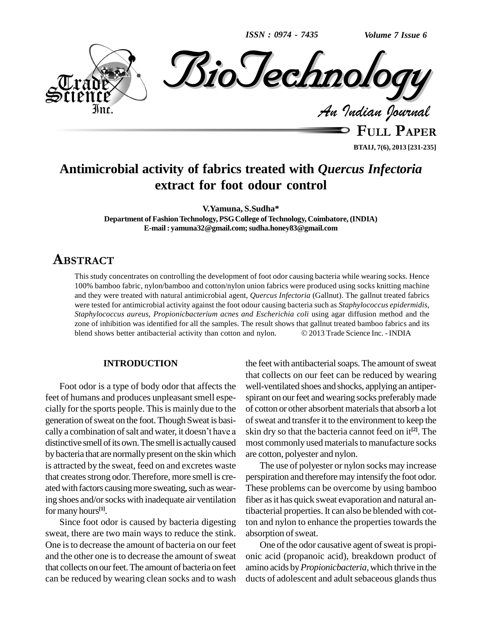*ISSN : 0974 - 7435*



**BTAIJ, 7(6), 2013 [231-235]**

# **Antimicrobial activity of fabrics treated with** *Quercus Infectoria* **extract for foot odour control**

**V.Yamuna, S.Sudha\* Department of FashionTechnology, PSGCollege ofTechnology, Coimbatore, (INDIA) E-mail: [yamuna32@gmail.com;sudha.](mailto:yamuna32@gmail.com;)[honey83@gmail.com](mailto:sudha.honey83@gmail.com)**

# **ABSTRACT**

This study concentrates on controlling the development of foot odor causing bacteria while wearing socks. Hence 100% bamboo fabric, nylon/bamboo and cotton/nylon union fabrics were produced using socks knitting machine and they were treated with natural antimicrobial agent, *Quercus Infectoria* (Gallnut). The gallnut treated fabrics were tested for antimicrobial activity against the foot odour causing bacteria such as *Staphylococcus epidermidis,* Staphylococcus aureus, Propionicbacterium acnes and Escherichia coli using agar diffusion method and the zone of inhibition was identified for all the samples. The result shows that gallnut treated bamboo fabrics and its b zone of inhibition was identified for all the samples. The result shows that gallnut treated bamboo fabrics and its

### **INTRODUCTION**

Foot odor is a type of body odor that affects the feet of humans and produces unpleasant smell especially for the sports people. This is mainly due to the generation of sweat on the foot. Though Sweat is basi- of s cially for the sports people. This is mainly due to the of cot<br>generation of sweat on the foot. Though Sweat is basi-of sweedly a combination of salt and water, it doesn't have a skin d distinctive smell of its own. The smell is actually caused by bacteria that are normally present on the skin which is attracted by the sweat, feed on and excretes waste that creates strong odor. Therefore, more smell is created with factors causing more sweating, such as wearing shoes and/or socks with inadequate air ventilation formany hours **[1]**.

Since foot odor is caused by bacteria digesting sweat, there are two main ways to reduce the stink. One is to decrease the amount of bacteria on our feet and the other one is to decrease the amount of sweat that collects on our feet. The amount of bacteria on feet can be reduced by wearing clean socks and to wash

the feet with antibacterial soaps. The amount of sweat that collects on our feet can be reduced by wearing well-ventilated shoes and shocks, applying an antiper spirant on our feet and wearing socks preferably made of cotton or other absorbent materials that absorb a lot of sweat and transfer it to the environment to keep the skin dry so that the bacteria cannot feed on it **[2]**. The most commonly used materials to manufacture socks are cotton, polyester and nylon.

The use of polyester or nylon socks may increase perspiration and therefore may intensify the foot odor. These problems can be overcome by using bamboo fiber as it has quick sweat evaporation and natural antibacterial properties. It can also be blended with cotton and nylon to enhance the properties towards the absorption of sweat.

One of the odor causative agent of sweat is propionic acid (propanoic acid), breakdown product of amino acids by *Propionicbacteria*, which thrive in the ducts of adolescent and adult sebaceous glands thus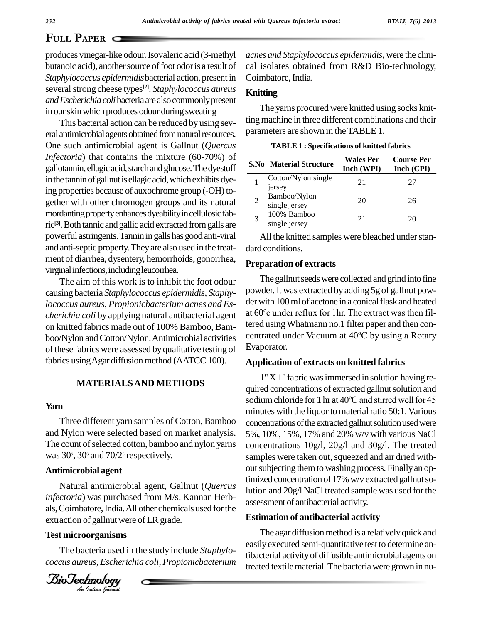## **P**APER **Q**

produces vinegar-like odour.Isovaleric acid (3-methyl butanoic acid), another source of foot odor is a result of *Staphylococcus epidermidis*bacterial action, present in several strong cheese types<sup>[2]</sup>. *Staphylococcus aureus*  $\mathbf{F}_{\mathbf{m}}$ *andEscherichiacoli*bacteriaare alsocommonlypresent in our skin which produces odour during sweating

This bacterial action can be reduced by using sev eral antimicrobial agents obtained from natural resources. One such antimicrobial agent is Gallnut (*Quercus Infectoria*) that contains the mixture (60-70%) of gallotannin, ellagic acid, starch and glucose. The dyestuff in the tannin of gallnut is ellagic acid, which exhibits dyeing properties because of auxochrome group (-OH) together with other chromogen groups and its natural mordanting property enhances dyeability in cellulosic fabric **[3]**.Both tannicandgallic acid extractedfromgalls are powerful astringents.Tannin in galls hasgood anti-viral and anti-septic property.Theyare also used in the treat ment of diarrhea, dysentery, hemorrhoids, gonorrhea, virginal infections, including leucorrhea.

The aim of this work is to inhibit the foot odour causing bacteria *Staphylococcus epidermidis, Staphycherichia coli*by applying natural antibacterial agent on knitted fabrics made out of 100% Bamboo, Bam boo/Nylon and Cotton/Nylon. Antimicrobial activities of these fabrics were assessed by qualitative testing of fabrics using Agar diffusion method (AATCC 100).

### **MATERIALSAND METHODS**

#### **Yarn**

Three different yarn samples of Cotton, Bamboo and Nylon were selected based on market analysis. The count of selected cotton, bamboo and nylon yarns was 30<sup>s</sup>, 30<sup>s</sup> and 70/2<sup>s</sup> respectively.

#### **Antimicrobial agent**

Natural antimicrobial agent, Gallnut (*Quercus*<br>infectoria) was purchased from M/s. Kannan Herbextraction of gallnut were of LR grade. Natural antimicrobial agent, Gallnut (*Quercus* als, Coimbatore, India. All other chemicals used for the

#### **Test microorganisms**

The bacteria used in the study include *Staphylo coccus aureus*, *Escherichia coli,Propionicbacterium*



*acnes and Staphylococcus epidermidis,* were the clini cal isolates obtained from R&D Bio-technology, Coimbatore, India.

#### **Knitting**

The yarns procured were knitted using socks knitting machine in three different combinations and their parameters are shown in theTABLE 1.

| <b>TABLE 1: Specifications of knitted fabrics</b> |  |
|---------------------------------------------------|--|
|---------------------------------------------------|--|

| S.No Material Structure       | <b>Wales Per</b><br>Inch (WPI) | <b>Course Per</b><br>Inch (CPI) |
|-------------------------------|--------------------------------|---------------------------------|
| Cotton/Nylon single<br>jersey | 21                             | 27                              |
| Bamboo/Nylon<br>single jersey | 20                             | 26                              |
| 100% Bamboo<br>single jersey  | 21                             | 20                              |

All the knitted samples were bleached under standard conditions.

#### **Preparation of extracts**

*lococcus aureus, Propionicbacterium acnes and Es-* der with 100 ml of acetone in a conical flask and heated charichia coli by applying natural antibacterial agent at 60<sup>°</sup>c under reflux for 1 hr. The extract was then fil-The gallnut seeds were collected and grind into fine powder. It was extracted by adding 5g of gallnut pow-<br>der with 100 ml of acetone in a conical flask and heated<br>at 60°c under reflux for 1hr. The extract was then filder with 100 ml of acetone in a conical flask and heated tered usingWhatmann no.1 filter paper and then con centrated under Vacuum at <sup>40</sup>ºC by using <sup>a</sup> Rotary Evaporator.

#### **Application of extracts on knitted fabrics**

1"X1" fabric wasimmersed in solution having re-quired concentrations of extracted gallnutsolution and sodiumchloride for <sup>1</sup> hr at <sup>40</sup>ºCand stirred wellfor <sup>45</sup> minutes with the liquor to material ratio 50:1. Various concentrations of the extracted gallnut solution used were 5%, 10%, 15%, 17% and 20% w/v with various NaCl concentrations 10g/l, 20g/l and 30g/l. The treated samples were taken out, squeezed and air dried without subjecting them to washing process. Finally an optimized concentration of 17% w/v extracted gallnut solution and 20g/l NaCl treated sample was used forthe assessment of antibacterial activity.

#### **Estimation of antibacterial activity**

The agar diffusion method is a relatively quick and easilyexecuted semi-quantitative test to determine antibacterial activityof diffusible antimicrobial agents on treated textile material. The bacteria were grown in nu-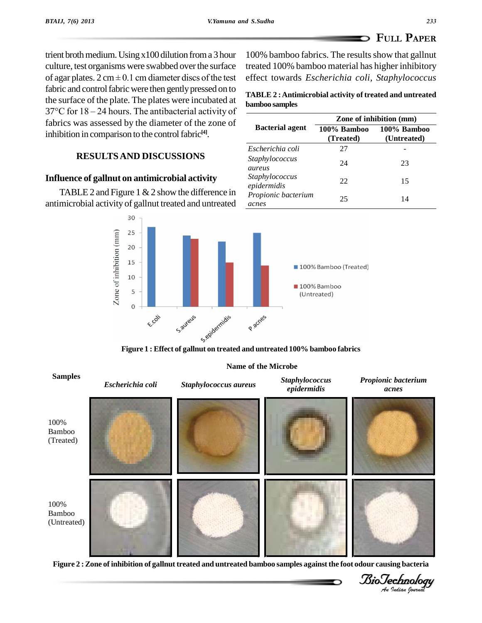**bamboo samples**

*Staphylococcus*

*Staphylococcus epidermidis*

*aureus*

*acnes*

*Escherichia coli* 27 -

*Propionic bacterium*

**100% Bamboo (Untreated)**

trient broth medium. Using  $x100$  dilution from a 3 hour culture, test organisms were swabbed overthe surface of agar plates.  $2 \text{ cm} \pm 0.1 \text{ cm}$  diameter discs of the test fabric and control fabric were then gently pressed on to the surface of the plate. The plates were incubated at  $37^{\circ}$ C for  $18 - 24$  hours. The antibacterial activity of fabrics was assessed by the diameter of the zone of<br>Bacterial agent inhibition in comparison to the control fabric<sup>[4]</sup>.

## **RESULTSAND DISCUSSIONS**

## **Influence of gallnut on antimicrobial activity**

TABLE 2 and Figure 1  $&$  2 show the difference in antimicrobial activity of gallnut treated and untreated





Figure 2 : Zone of inhibition of gallnut treated and untreated bamboo samples against the foot odour causing bacteria

*Indian Journal*

**TABLE 2 :Antimicrobial activity of treated and untreated**

100% bamboo fabrics. The results show that gallnut treated 100% bamboo material has higher inhibitory effect towards *Escherichia coli, Staphylococcus*

> **Bacterial agent 100% Bamboo (Treated)**

**Zone of inhibition (mm)**

24 23

22 15

25 14

**Name of the Microbe**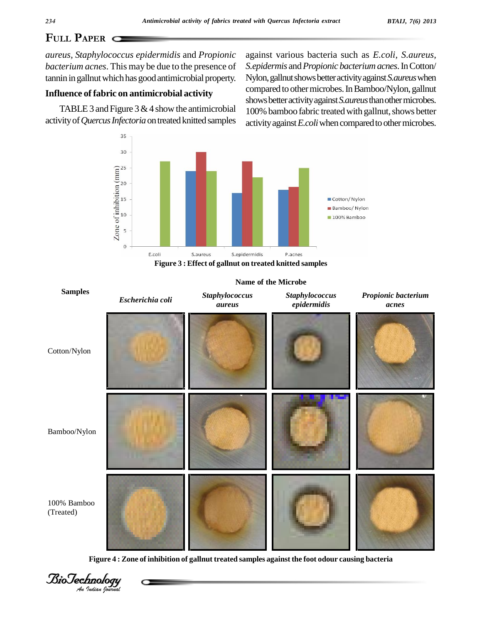# **PAPER**

*aureus, Staphylococcus epidermidis* and *Propionic bacterium acnes*. This may be due to the presence of tannin in gallnut which has good antimicrobial property.

## **Influence of fabric on antimicrobial activity**

TABLE 3 and Figure 3  $&$  4 show the antimicrobial activity of Quercus Infectoria on treated knitted samples

against various bacteria such as *E.coli, S.aureus, S.epidermis* and*Propionic bacteriumacnes*.InCotton/ Nylon,gallnutshowsbetteractivityagainst*S.aureus*when compared to other microbes. In Bamboo/Nylon, gallnut shows better activity against *S.aureus* than other microbes. 100% bamboo fabric treated with gallnut, shows better activity against *E.coli* when compared to other microbes.



**Figure 3 : Effect of gallnut on treated knitted samples**



**Figure 4 : Zone of inhibition of gallnut treated samples against the foot odour causing bacteria**